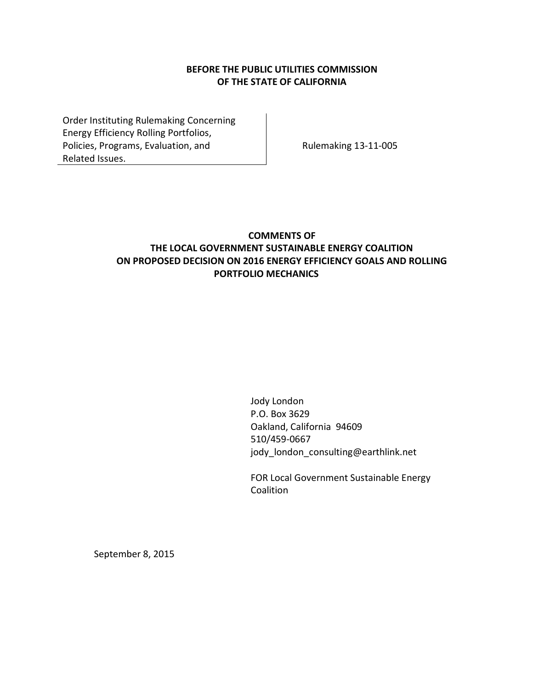### **BEFORE THE PUBLIC UTILITIES COMMISSION OF THE STATE OF CALIFORNIA**

Order Instituting Rulemaking Concerning Energy Efficiency Rolling Portfolios, Policies, Programs, Evaluation, and Related Issues.

Rulemaking 13-11-005

## **COMMENTS OF THE LOCAL GOVERNMENT SUSTAINABLE ENERGY COALITION ON PROPOSED DECISION ON 2016 ENERGY EFFICIENCY GOALS AND ROLLING PORTFOLIO MECHANICS**

Jody London P.O. Box 3629 Oakland, California 94609 510/459-0667 jody\_london\_consulting@earthlink.net

FOR Local Government Sustainable Energy **Coalition** 

September 8, 2015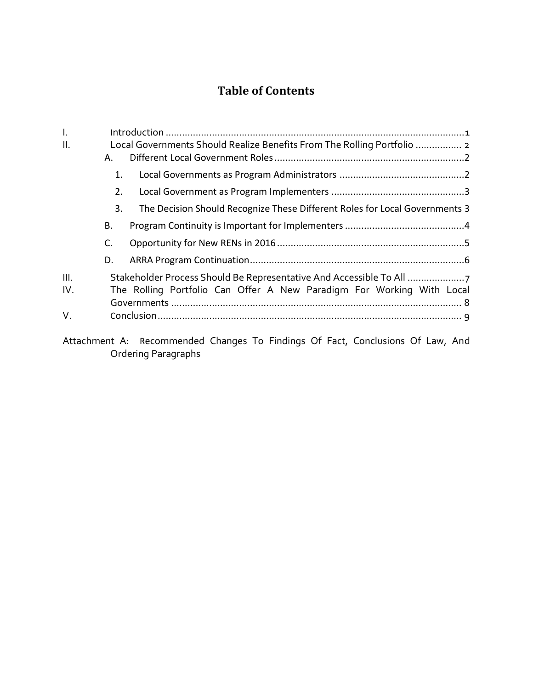# **Table of Contents**

| I.   |                                                                         |                                                                             |  |
|------|-------------------------------------------------------------------------|-----------------------------------------------------------------------------|--|
| Ⅱ.   | Local Governments Should Realize Benefits From The Rolling Portfolio  2 |                                                                             |  |
|      | А.                                                                      |                                                                             |  |
|      | 1.                                                                      |                                                                             |  |
|      | 2.                                                                      |                                                                             |  |
|      | 3.                                                                      | The Decision Should Recognize These Different Roles for Local Governments 3 |  |
|      | В.                                                                      |                                                                             |  |
|      | C.                                                                      |                                                                             |  |
|      | D.                                                                      |                                                                             |  |
| III. |                                                                         | Stakeholder Process Should Be Representative And Accessible To All          |  |
| IV.  |                                                                         | The Rolling Portfolio Can Offer A New Paradigm For Working With Local       |  |
|      |                                                                         |                                                                             |  |
| V.   |                                                                         |                                                                             |  |
|      |                                                                         |                                                                             |  |

[Attachment A:](#page-12-0) R[ecommended Changes To Findings Of Fact, Conclusions Of Law, And](#page-12-1)  [Ordering Paragraphs](#page-12-1)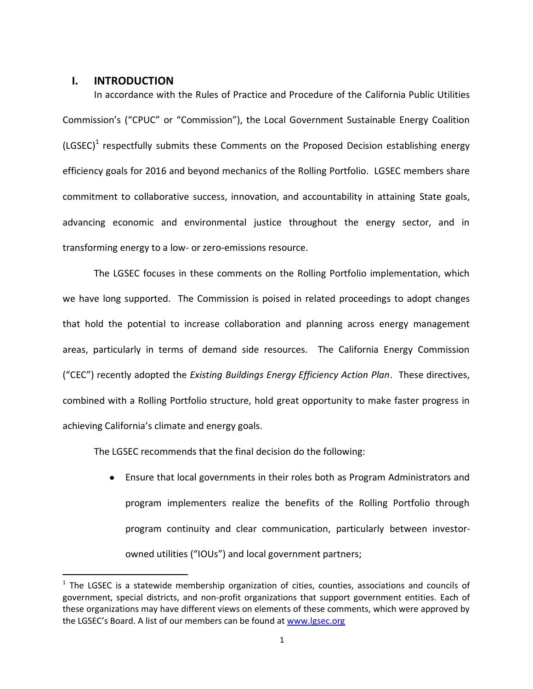#### <span id="page-2-0"></span>**I. INTRODUCTION**

 $\overline{a}$ 

In accordance with the Rules of Practice and Procedure of the California Public Utilities Commission's ("CPUC" or "Commission"), the Local Government Sustainable Energy Coalition (LGSEC)<sup>1</sup> respectfully submits these Comments on the Proposed Decision establishing energy efficiency goals for 2016 and beyond mechanics of the Rolling Portfolio. LGSEC members share commitment to collaborative success, innovation, and accountability in attaining State goals, advancing economic and environmental justice throughout the energy sector, and in transforming energy to a low- or zero-emissions resource.

The LGSEC focuses in these comments on the Rolling Portfolio implementation, which we have long supported. The Commission is poised in related proceedings to adopt changes that hold the potential to increase collaboration and planning across energy management areas, particularly in terms of demand side resources. The California Energy Commission ("CEC") recently adopted the *Existing Buildings Energy Efficiency Action Plan*. These directives, combined with a Rolling Portfolio structure, hold great opportunity to make faster progress in achieving California's climate and energy goals.

The LGSEC recommends that the final decision do the following:

Ensure that local governments in their roles both as Program Administrators and program implementers realize the benefits of the Rolling Portfolio through program continuity and clear communication, particularly between investorowned utilities ("IOUs") and local government partners;

 $1$  The LGSEC is a statewide membership organization of cities, counties, associations and councils of government, special districts, and non-profit organizations that support government entities. Each of these organizations may have different views on elements of these comments, which were approved by the LGSEC's Board. A list of our members can be found at [www.lgsec.org](http://www.lgsec.org/)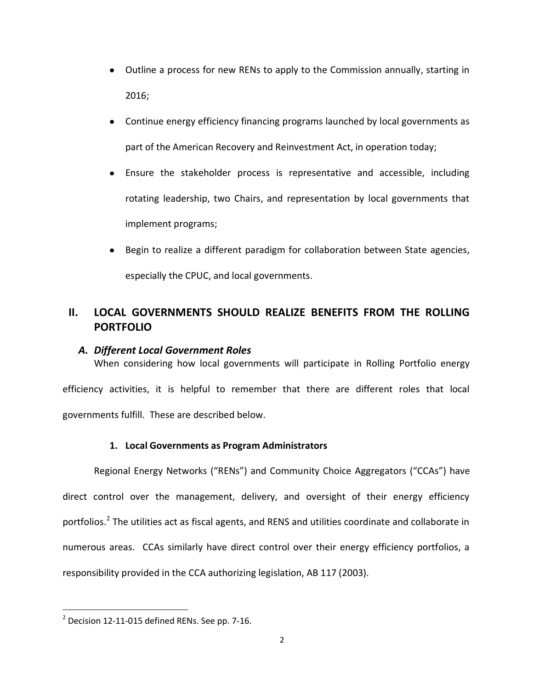- Outline a process for new RENs to apply to the Commission annually, starting in 2016;
- Continue energy efficiency financing programs launched by local governments as part of the American Recovery and Reinvestment Act, in operation today;
- Ensure the stakeholder process is representative and accessible, including rotating leadership, two Chairs, and representation by local governments that implement programs;
- Begin to realize a different paradigm for collaboration between State agencies, especially the CPUC, and local governments.

## <span id="page-3-0"></span>**II. LOCAL GOVERNMENTS SHOULD REALIZE BENEFITS FROM THE ROLLING PORTFOLIO**

### <span id="page-3-1"></span>*A. Different Local Government Roles*

When considering how local governments will participate in Rolling Portfolio energy efficiency activities, it is helpful to remember that there are different roles that local governments fulfill. These are described below.

## **1. Local Governments as Program Administrators**

<span id="page-3-2"></span>Regional Energy Networks ("RENs") and Community Choice Aggregators ("CCAs") have direct control over the management, delivery, and oversight of their energy efficiency portfolios.<sup>2</sup> The utilities act as fiscal agents, and RENS and utilities coordinate and collaborate in numerous areas. CCAs similarly have direct control over their energy efficiency portfolios, a responsibility provided in the CCA authorizing legislation, AB 117 (2003).

 $\overline{a}$ 

 $2$  Decision 12-11-015 defined RENs. See pp. 7-16.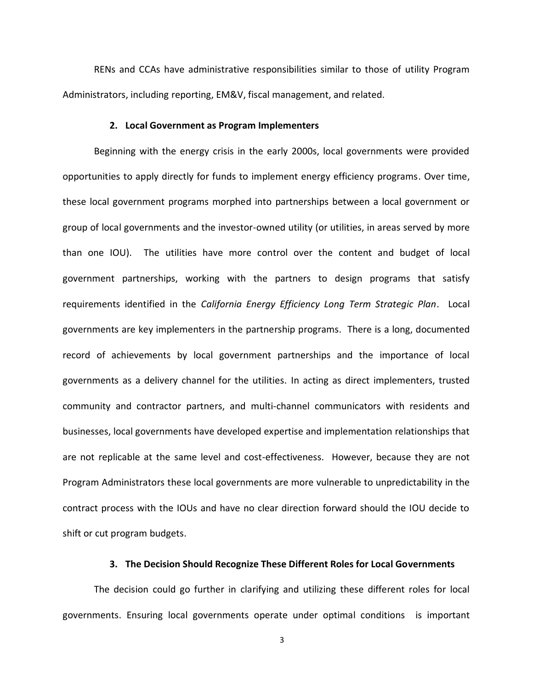RENs and CCAs have administrative responsibilities similar to those of utility Program Administrators, including reporting, EM&V, fiscal management, and related.

#### **2. Local Government as Program Implementers**

<span id="page-4-0"></span>Beginning with the energy crisis in the early 2000s, local governments were provided opportunities to apply directly for funds to implement energy efficiency programs. Over time, these local government programs morphed into partnerships between a local government or group of local governments and the investor-owned utility (or utilities, in areas served by more than one IOU). The utilities have more control over the content and budget of local government partnerships, working with the partners to design programs that satisfy requirements identified in the *California Energy Efficiency Long Term Strategic Plan*. Local governments are key implementers in the partnership programs. There is a long, documented record of achievements by local government partnerships and the importance of local governments as a delivery channel for the utilities. In acting as direct implementers, trusted community and contractor partners, and multi-channel communicators with residents and businesses, local governments have developed expertise and implementation relationships that are not replicable at the same level and cost-effectiveness. However, because they are not Program Administrators these local governments are more vulnerable to unpredictability in the contract process with the IOUs and have no clear direction forward should the IOU decide to shift or cut program budgets.

#### **3. The Decision Should Recognize These Different Roles for Local Governments**

<span id="page-4-1"></span>The decision could go further in clarifying and utilizing these different roles for local governments. Ensuring local governments operate under optimal conditions is important

3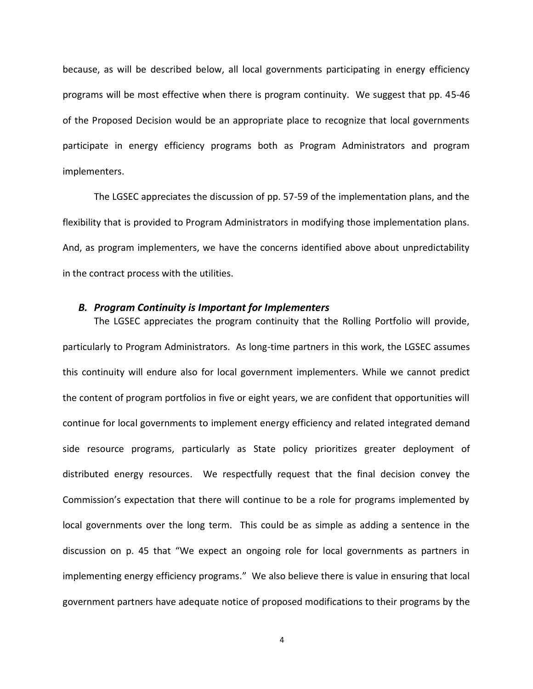because, as will be described below, all local governments participating in energy efficiency programs will be most effective when there is program continuity. We suggest that pp. 45-46 of the Proposed Decision would be an appropriate place to recognize that local governments participate in energy efficiency programs both as Program Administrators and program implementers.

The LGSEC appreciates the discussion of pp. 57-59 of the implementation plans, and the flexibility that is provided to Program Administrators in modifying those implementation plans. And, as program implementers, we have the concerns identified above about unpredictability in the contract process with the utilities.

#### <span id="page-5-0"></span>*B. Program Continuity is Important for Implementers*

The LGSEC appreciates the program continuity that the Rolling Portfolio will provide, particularly to Program Administrators. As long-time partners in this work, the LGSEC assumes this continuity will endure also for local government implementers. While we cannot predict the content of program portfolios in five or eight years, we are confident that opportunities will continue for local governments to implement energy efficiency and related integrated demand side resource programs, particularly as State policy prioritizes greater deployment of distributed energy resources. We respectfully request that the final decision convey the Commission's expectation that there will continue to be a role for programs implemented by local governments over the long term. This could be as simple as adding a sentence in the discussion on p. 45 that "We expect an ongoing role for local governments as partners in implementing energy efficiency programs." We also believe there is value in ensuring that local government partners have adequate notice of proposed modifications to their programs by the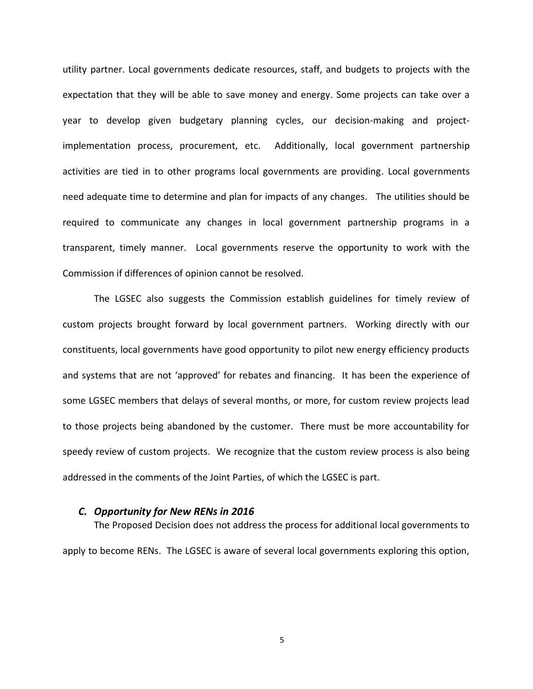utility partner. Local governments dedicate resources, staff, and budgets to projects with the expectation that they will be able to save money and energy. Some projects can take over a year to develop given budgetary planning cycles, our decision-making and projectimplementation process, procurement, etc. Additionally, local government partnership activities are tied in to other programs local governments are providing. Local governments need adequate time to determine and plan for impacts of any changes. The utilities should be required to communicate any changes in local government partnership programs in a transparent, timely manner. Local governments reserve the opportunity to work with the Commission if differences of opinion cannot be resolved.

The LGSEC also suggests the Commission establish guidelines for timely review of custom projects brought forward by local government partners. Working directly with our constituents, local governments have good opportunity to pilot new energy efficiency products and systems that are not 'approved' for rebates and financing. It has been the experience of some LGSEC members that delays of several months, or more, for custom review projects lead to those projects being abandoned by the customer. There must be more accountability for speedy review of custom projects. We recognize that the custom review process is also being addressed in the comments of the Joint Parties, of which the LGSEC is part.

#### <span id="page-6-0"></span>*C. Opportunity for New RENs in 2016*

The Proposed Decision does not address the process for additional local governments to apply to become RENs. The LGSEC is aware of several local governments exploring this option,

5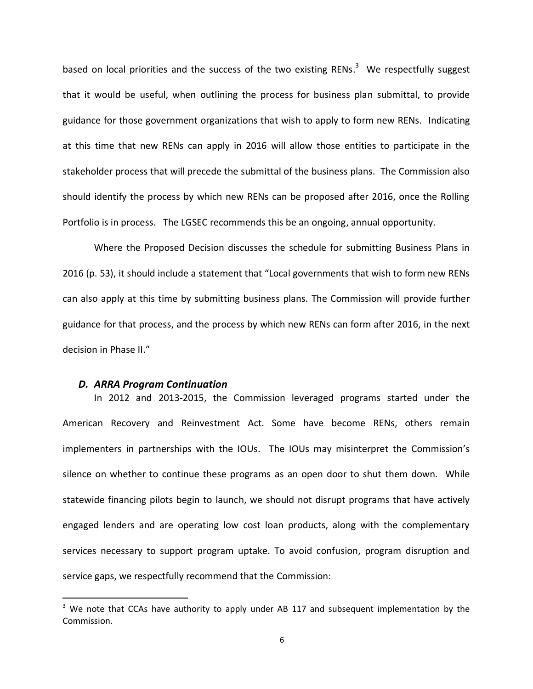based on local priorities and the success of the two existing RENs. $3$  We respectfully suggest that it would be useful, when outlining the process for business plan submittal, to provide guidance for those government organizations that wish to apply to form new RENs. Indicating at this time that new RENs can apply in 2016 will allow those entities to participate in the stakeholder process that will precede the submittal of the business plans. The Commission also should identify the process by which new RENs can be proposed after 2016, once the Rolling Portfolio is in process. The LGSEC recommends this be an ongoing, annual opportunity.

Where the Proposed Decision discusses the schedule for submitting Business Plans in 2016 (p. 53), it should include a statement that "Local governments that wish to form new RENs can also apply at this time by submitting business plans. The Commission will provide further guidance for that process, and the process by which new RENs can form after 2016, in the next decision in Phase II."

#### <span id="page-7-0"></span>*D. ARRA Program Continuation*

 $\overline{a}$ 

In 2012 and 2013-2015, the Commission leveraged programs started under the American Recovery and Reinvestment Act. Some have become RENs, others remain implementers in partnerships with the IOUs. The IOUs may misinterpret the Commission's silence on whether to continue these programs as an open door to shut them down. While statewide financing pilots begin to launch, we should not disrupt programs that have actively engaged lenders and are operating low cost loan products, along with the complementary services necessary to support program uptake. To avoid confusion, program disruption and service gaps, we respectfully recommend that the Commission:

 $3$  We note that CCAs have authority to apply under AB 117 and subsequent implementation by the Commission.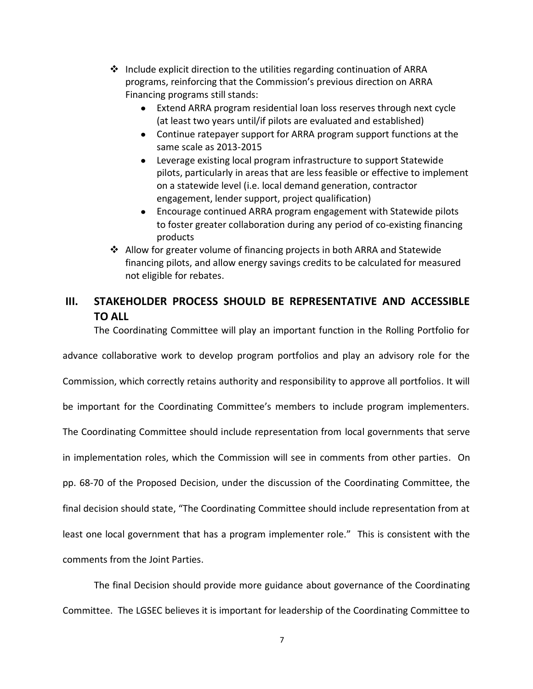- $\cdot \cdot$  Include explicit direction to the utilities regarding continuation of ARRA programs, reinforcing that the Commission's previous direction on ARRA Financing programs still stands:
	- Extend ARRA program residential loan loss reserves through next cycle (at least two years until/if pilots are evaluated and established)
	- Continue ratepayer support for ARRA program support functions at the same scale as 2013-2015
	- Leverage existing local program infrastructure to support Statewide pilots, particularly in areas that are less feasible or effective to implement on a statewide level (i.e. local demand generation, contractor engagement, lender support, project qualification)
	- Encourage continued ARRA program engagement with Statewide pilots to foster greater collaboration during any period of co-existing financing products
- Allow for greater volume of financing projects in both ARRA and Statewide financing pilots, and allow energy savings credits to be calculated for measured not eligible for rebates.

## <span id="page-8-0"></span>**III. STAKEHOLDER PROCESS SHOULD BE REPRESENTATIVE AND ACCESSIBLE TO ALL**

The Coordinating Committee will play an important function in the Rolling Portfolio for

advance collaborative work to develop program portfolios and play an advisory role for the

Commission, which correctly retains authority and responsibility to approve all portfolios. It will

be important for the Coordinating Committee's members to include program implementers.

The Coordinating Committee should include representation from local governments that serve

in implementation roles, which the Commission will see in comments from other parties. On

pp. 68-70 of the Proposed Decision, under the discussion of the Coordinating Committee, the

final decision should state, "The Coordinating Committee should include representation from at

least one local government that has a program implementer role." This is consistent with the

comments from the Joint Parties.

The final Decision should provide more guidance about governance of the Coordinating Committee. The LGSEC believes it is important for leadership of the Coordinating Committee to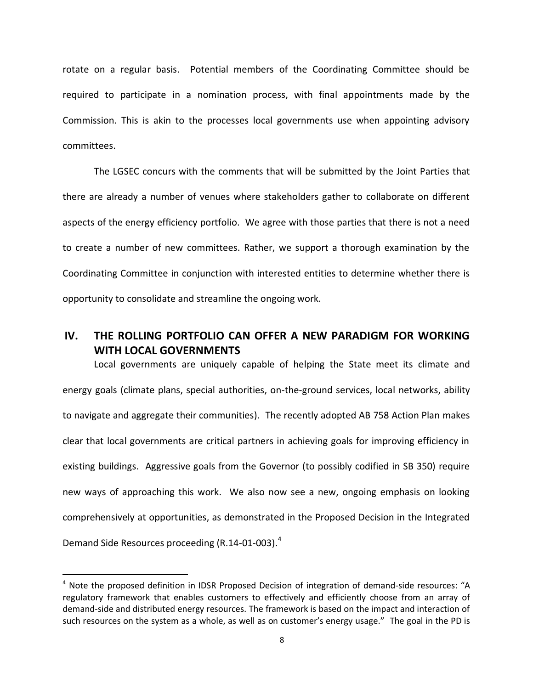rotate on a regular basis. Potential members of the Coordinating Committee should be required to participate in a nomination process, with final appointments made by the Commission. This is akin to the processes local governments use when appointing advisory committees.

The LGSEC concurs with the comments that will be submitted by the Joint Parties that there are already a number of venues where stakeholders gather to collaborate on different aspects of the energy efficiency portfolio. We agree with those parties that there is not a need to create a number of new committees. Rather, we support a thorough examination by the Coordinating Committee in conjunction with interested entities to determine whether there is opportunity to consolidate and streamline the ongoing work.

## <span id="page-9-0"></span>**IV. THE ROLLING PORTFOLIO CAN OFFER A NEW PARADIGM FOR WORKING WITH LOCAL GOVERNMENTS**

Local governments are uniquely capable of helping the State meet its climate and energy goals (climate plans, special authorities, on-the-ground services, local networks, ability to navigate and aggregate their communities). The recently adopted AB 758 Action Plan makes clear that local governments are critical partners in achieving goals for improving efficiency in existing buildings. Aggressive goals from the Governor (to possibly codified in SB 350) require new ways of approaching this work. We also now see a new, ongoing emphasis on looking comprehensively at opportunities, as demonstrated in the Proposed Decision in the Integrated Demand Side Resources proceeding (R.14-01-003).<sup>4</sup>

 $\overline{a}$ 

 $4$  Note the proposed definition in IDSR Proposed Decision of integration of demand-side resources: "A regulatory framework that enables customers to effectively and efficiently choose from an array of demand-side and distributed energy resources. The framework is based on the impact and interaction of such resources on the system as a whole, as well as on customer's energy usage." The goal in the PD is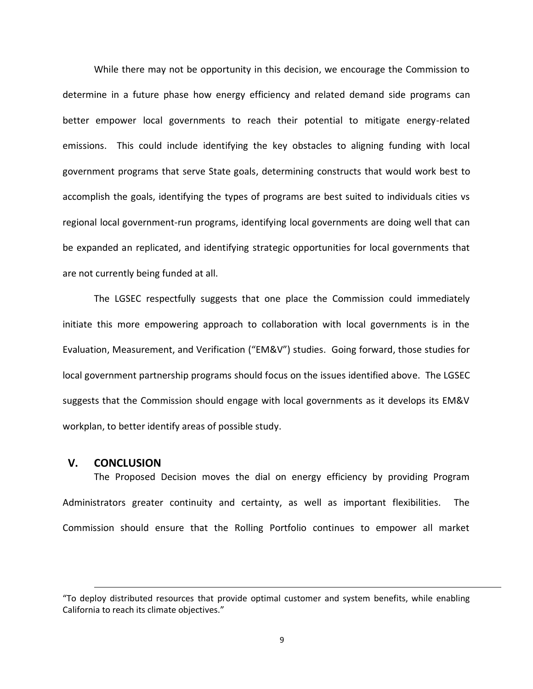While there may not be opportunity in this decision, we encourage the Commission to determine in a future phase how energy efficiency and related demand side programs can better empower local governments to reach their potential to mitigate energy-related emissions. This could include identifying the key obstacles to aligning funding with local government programs that serve State goals, determining constructs that would work best to accomplish the goals, identifying the types of programs are best suited to individuals cities vs regional local government-run programs, identifying local governments are doing well that can be expanded an replicated, and identifying strategic opportunities for local governments that are not currently being funded at all.

The LGSEC respectfully suggests that one place the Commission could immediately initiate this more empowering approach to collaboration with local governments is in the Evaluation, Measurement, and Verification ("EM&V") studies. Going forward, those studies for local government partnership programs should focus on the issues identified above. The LGSEC suggests that the Commission should engage with local governments as it develops its EM&V workplan, to better identify areas of possible study.

#### <span id="page-10-0"></span>**V. CONCLUSION**

 $\overline{a}$ 

The Proposed Decision moves the dial on energy efficiency by providing Program Administrators greater continuity and certainty, as well as important flexibilities. The Commission should ensure that the Rolling Portfolio continues to empower all market

<sup>&</sup>quot;To deploy distributed resources that provide optimal customer and system benefits, while enabling California to reach its climate objectives."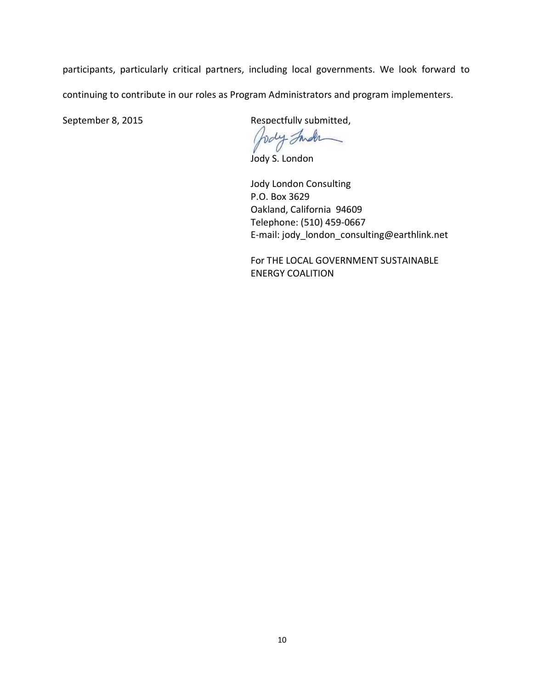participants, particularly critical partners, including local governments. We look forward to continuing to contribute in our roles as Program Administrators and program implementers.

September 8, 2015 Respectfully submitted,

holy Inder

Jody S. London

Jody London Consulting P.O. Box 3629 Oakland, California 94609 Telephone: (510) 459-0667 E-mail: jody\_london\_consulting@earthlink.net

For THE LOCAL GOVERNMENT SUSTAINABLE ENERGY COALITION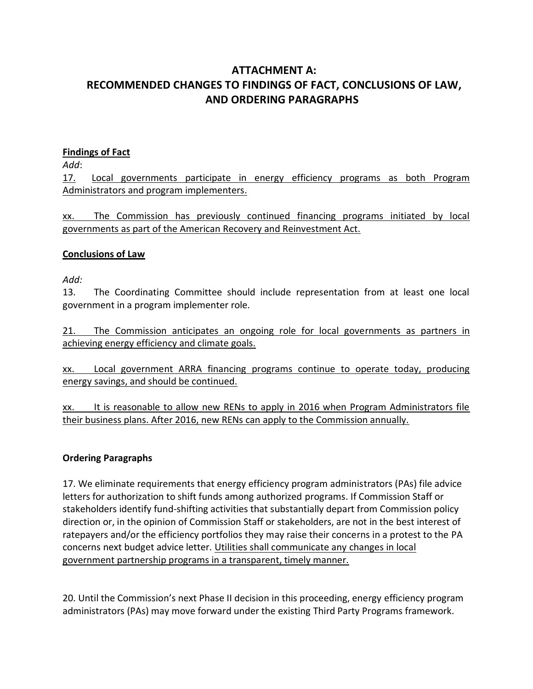## <span id="page-12-1"></span><span id="page-12-0"></span>**ATTACHMENT A: RECOMMENDED CHANGES TO FINDINGS OF FACT, CONCLUSIONS OF LAW, AND ORDERING PARAGRAPHS**

### **Findings of Fact**

*Add*:

17. Local governments participate in energy efficiency programs as both Program Administrators and program implementers.

xx. The Commission has previously continued financing programs initiated by local governments as part of the American Recovery and Reinvestment Act.

### **Conclusions of Law**

*Add:*

13. The Coordinating Committee should include representation from at least one local government in a program implementer role.

21. The Commission anticipates an ongoing role for local governments as partners in achieving energy efficiency and climate goals.

xx. Local government ARRA financing programs continue to operate today, producing energy savings, and should be continued.

xx. It is reasonable to allow new RENs to apply in 2016 when Program Administrators file their business plans. After 2016, new RENs can apply to the Commission annually.

## **Ordering Paragraphs**

17. We eliminate requirements that energy efficiency program administrators (PAs) file advice letters for authorization to shift funds among authorized programs. If Commission Staff or stakeholders identify fund-shifting activities that substantially depart from Commission policy direction or, in the opinion of Commission Staff or stakeholders, are not in the best interest of ratepayers and/or the efficiency portfolios they may raise their concerns in a protest to the PA concerns next budget advice letter. Utilities shall communicate any changes in local government partnership programs in a transparent, timely manner.

20. Until the Commission's next Phase II decision in this proceeding, energy efficiency program administrators (PAs) may move forward under the existing Third Party Programs framework.